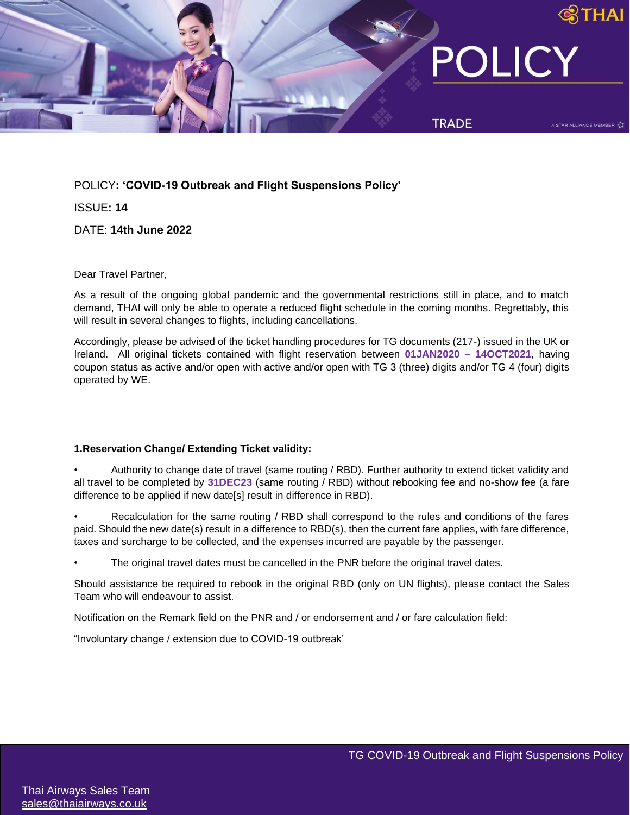

POLICY**: 'COVID-19 Outbreak and Flight Suspensions Policy'** 

ISSUE**: 14**

DATE: **14th June 2022**

Dear Travel Partner,

As a result of the ongoing global pandemic and the governmental restrictions still in place, and to match demand, THAI will only be able to operate a reduced flight schedule in the coming months. Regrettably, this will result in several changes to flights, including cancellations.

Accordingly, please be advised of the ticket handling procedures for TG documents (217-) issued in the UK or Ireland. All original tickets contained with flight reservation between **01JAN2020 – 14OCT2021**, having coupon status as active and/or open with active and/or open with TG 3 (three) digits and/or TG 4 (four) digits operated by WE.

# **1.Reservation Change/ Extending Ticket validity:**

• Authority to change date of travel (same routing / RBD). Further authority to extend ticket validity and all travel to be completed by **31DEC23** (same routing / RBD) without rebooking fee and no-show fee (a fare difference to be applied if new date[s] result in difference in RBD).

Recalculation for the same routing / RBD shall correspond to the rules and conditions of the fares paid. Should the new date(s) result in a difference to RBD(s), then the current fare applies, with fare difference, taxes and surcharge to be collected, and the expenses incurred are payable by the passenger.

The original travel dates must be cancelled in the PNR before the original travel dates.

Should assistance be required to rebook in the original RBD (only on UN flights), please contact the Sales Team who will endeavour to assist.

Notification on the Remark field on the PNR and / or endorsement and / or fare calculation field:

"Involuntary change / extension due to COVID-19 outbreak'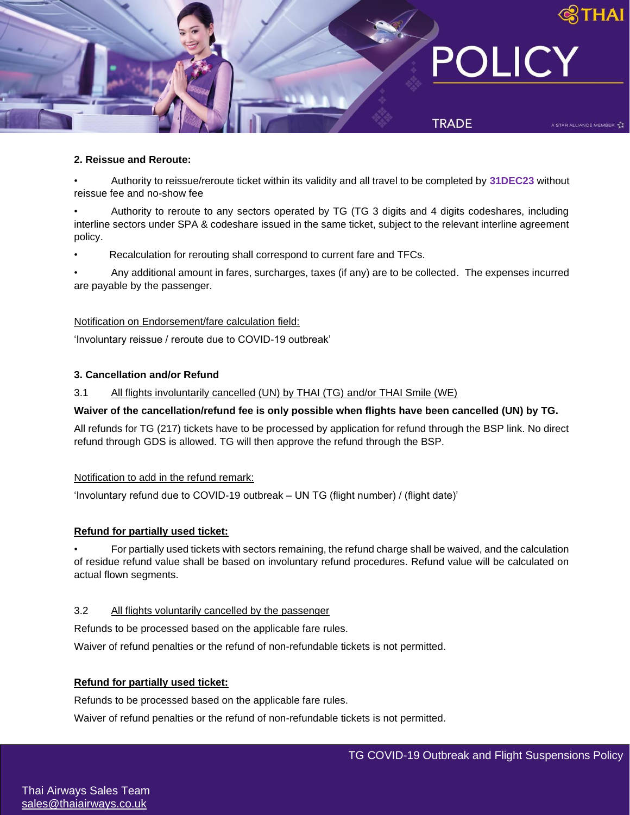

### **2. Reissue and Reroute:**

• Authority to reissue/reroute ticket within its validity and all travel to be completed by **31DEC23** without reissue fee and no-show fee

• Authority to reroute to any sectors operated by TG (TG 3 digits and 4 digits codeshares, including interline sectors under SPA & codeshare issued in the same ticket, subject to the relevant interline agreement policy.

• Recalculation for rerouting shall correspond to current fare and TFCs.

• Any additional amount in fares, surcharges, taxes (if any) are to be collected. The expenses incurred are payable by the passenger.

## Notification on Endorsement/fare calculation field:

'Involuntary reissue / reroute due to COVID-19 outbreak'

## **3. Cancellation and/or Refund**

3.1 All flights involuntarily cancelled (UN) by THAI (TG) and/or THAI Smile (WE)

# **Waiver of the cancellation/refund fee is only possible when flights have been cancelled (UN) by TG.**

All refunds for TG (217) tickets have to be processed by application for refund through the BSP link. No direct refund through GDS is allowed. TG will then approve the refund through the BSP.

#### Notification to add in the refund remark:

'Involuntary refund due to COVID-19 outbreak – UN TG (flight number) / (flight date)'

#### **Refund for partially used ticket:**

• For partially used tickets with sectors remaining, the refund charge shall be waived, and the calculation of residue refund value shall be based on involuntary refund procedures. Refund value will be calculated on actual flown segments.

### 3.2 All flights voluntarily cancelled by the passenger

Refunds to be processed based on the applicable fare rules.

Waiver of refund penalties or the refund of non-refundable tickets is not permitted.

# **Refund for partially used ticket:**

Refunds to be processed based on the applicable fare rules.

Waiver of refund penalties or the refund of non-refundable tickets is not permitted.